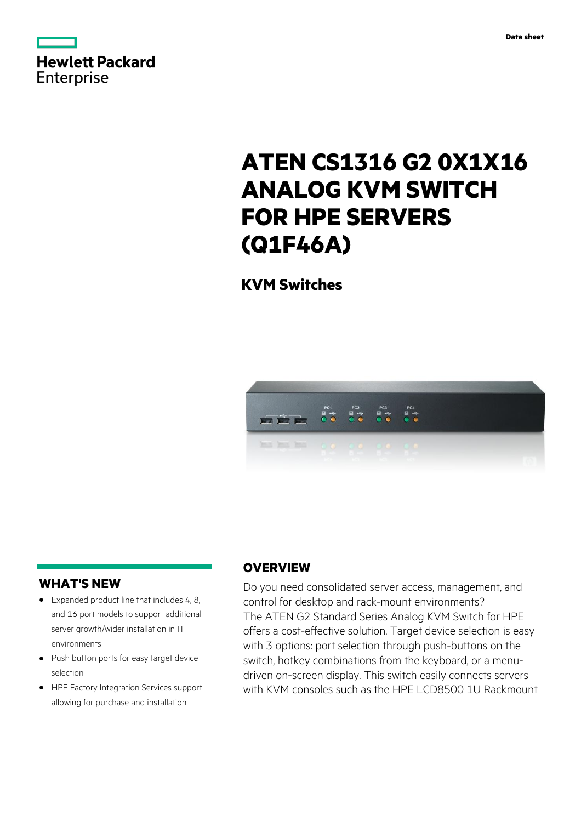



# **ATEN CS1316 G2 0X1X16 ANALOG KVM SWITCH FOR HPE SERVERS (Q1F46A)**

**KVM Switches**



## **WHAT'S NEW**

- **·** Expanded product line that includes 4, 8, and 16 port models to support additional server growth/wider installation in IT environments
- **·** Push button ports for easy target device selection
- **·** HPE Factory Integration Services support allowing for purchase and installation

# **OVERVIEW**

Do you need consolidated server access, management, and control for desktop and rack-mount environments? The ATEN G2 Standard Series Analog KVM Switch for HPE offers a cost-effective solution. Target device selection is easy with 3 options: port selection through push-buttons on the switch, hotkey combinations from the keyboard, or a menudriven on-screen display. This switch easily connects servers with KVM consoles such as the HPE LCD8500 1U Rackmount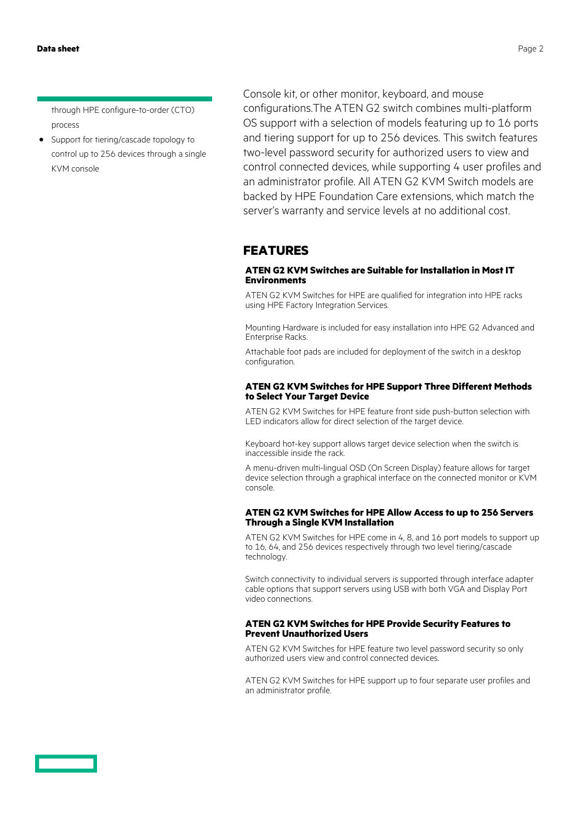through HPE configure-to-order (CTO) process

**·** Support for tiering/cascade topology to control up to 256 devices through a single KVM console

Console kit, or other monitor, keyboard, and mouse configurations.The ATEN G2 switch combines multi-platform OS support with a selection of models featuring up to 16 ports and tiering support for up to 256 devices. This switch features two-level password security for authorized users to view and control connected devices, while supporting 4 user profiles and an administrator profile. All ATEN G2 KVM Switch models are backed by HPE Foundation Care extensions, which match the server's warranty and service levels at no additional cost.

# **FEATURES**

### **ATEN G2 KVM Switches are Suitable for Installation in Most IT Environments**

ATEN G2 KVM Switches for HPE are qualified for integration into HPE racks using HPE Factory Integration Services.

Mounting Hardware is included for easy installation into HPE G2 Advanced and Enterprise Racks.

Attachable foot pads are included for deployment of the switch in a desktop configuration.

#### **ATEN G2 KVM Switches for HPE Support Three Different Methods to Select Your Target Device**

ATEN G2 KVM Switches for HPE feature front side push-button selection with LED indicators allow for direct selection of the target device.

Keyboard hot-key support allows target device selection when the switch is inaccessible inside the rack.

A menu-driven multi-lingual OSD (On Screen Display) feature allows for target device selection through a graphical interface on the connected monitor or KVM console.

#### **ATEN G2 KVM Switches for HPE Allow Access to up to 256 Servers Through a Single KVM Installation**

ATEN G2 KVM Switches for HPE come in 4, 8, and 16 port models to support up to 16, 64, and 256 devices respectively through two level tiering/cascade technology.

Switch connectivity to individual servers is supported through interface adapter cable options that support servers using USB with both VGA and Display Port video connections.

#### **ATEN G2 KVM Switches for HPE Provide Security Features to Prevent Unauthorized Users**

ATEN G2 KVM Switches for HPE feature two level password security so only authorized users view and control connected devices.

ATEN G2 KVM Switches for HPE support up to four separate user profiles and an administrator profile.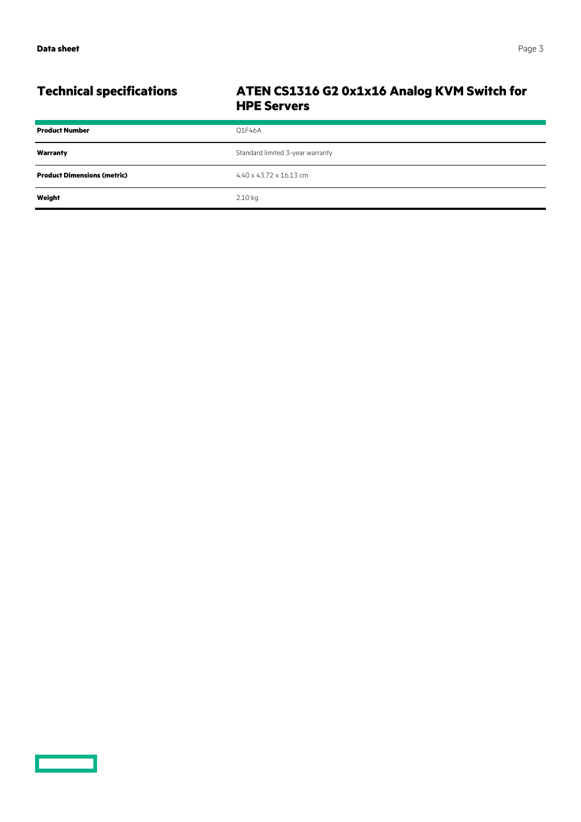# **Technical specifications ATEN CS1316 G2 0x1x16 Analog KVM Switch for HPE Servers**

| <b>Product Number</b>              | Q1F46A                           |
|------------------------------------|----------------------------------|
| Warranty                           | Standard limited 3-year warranty |
| <b>Product Dimensions (metric)</b> | 4.40 x 43.72 x 16.13 cm          |
| Weight                             | 2.10 kg                          |